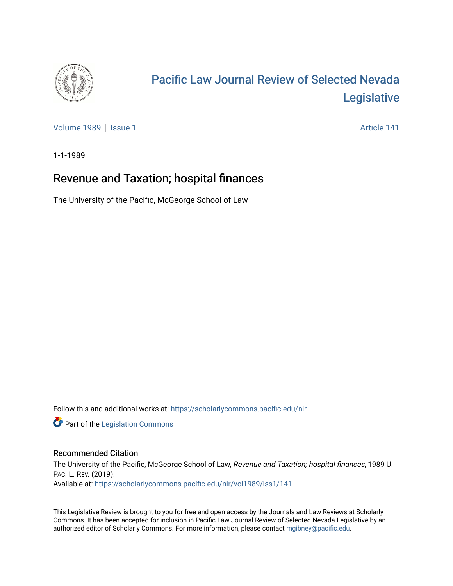

# [Pacific Law Journal Review of Selected Nevada](https://scholarlycommons.pacific.edu/nlr)  [Legislative](https://scholarlycommons.pacific.edu/nlr)

[Volume 1989](https://scholarlycommons.pacific.edu/nlr/vol1989) | [Issue 1](https://scholarlycommons.pacific.edu/nlr/vol1989/iss1) Article 141

1-1-1989

## Revenue and Taxation; hospital finances

The University of the Pacific, McGeorge School of Law

Follow this and additional works at: [https://scholarlycommons.pacific.edu/nlr](https://scholarlycommons.pacific.edu/nlr?utm_source=scholarlycommons.pacific.edu%2Fnlr%2Fvol1989%2Fiss1%2F141&utm_medium=PDF&utm_campaign=PDFCoverPages) 

**Part of the [Legislation Commons](http://network.bepress.com/hgg/discipline/859?utm_source=scholarlycommons.pacific.edu%2Fnlr%2Fvol1989%2Fiss1%2F141&utm_medium=PDF&utm_campaign=PDFCoverPages)** 

#### Recommended Citation

The University of the Pacific, McGeorge School of Law, Revenue and Taxation; hospital finances, 1989 U. PAC. L. REV. (2019). Available at: [https://scholarlycommons.pacific.edu/nlr/vol1989/iss1/141](https://scholarlycommons.pacific.edu/nlr/vol1989/iss1/141?utm_source=scholarlycommons.pacific.edu%2Fnlr%2Fvol1989%2Fiss1%2F141&utm_medium=PDF&utm_campaign=PDFCoverPages) 

This Legislative Review is brought to you for free and open access by the Journals and Law Reviews at Scholarly Commons. It has been accepted for inclusion in Pacific Law Journal Review of Selected Nevada Legislative by an authorized editor of Scholarly Commons. For more information, please contact [mgibney@pacific.edu](mailto:mgibney@pacific.edu).